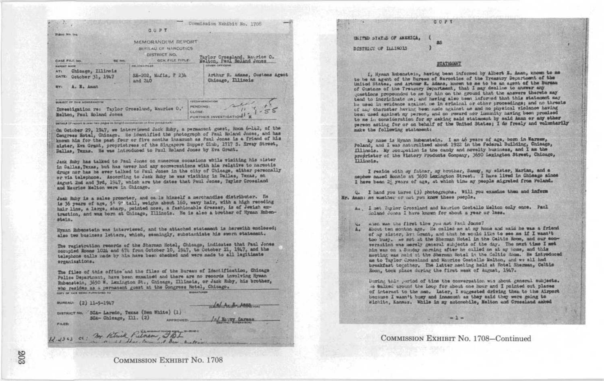## COPY

Commission Exhibit No. 1708 **QUPT** Permi No. 164 MEMORANDUM REPORT BUILLAU OF MARCOTICS DISTRICT NO. Taylor Crossland, Maurice O.<br>Molton, Paul Reland Jones GEN. FILE TITLE-CASE FILE NO **RE 100** *<u>RELAISSIPILER</u>* **OTHER OFFICERS BAPONT HADE** Chicago, Illinois ATC ... Arthur R. Adams, Customs Agent SE-202, Mafia, P 234 DATE: October 31, 1947 and 240 Chicago, Illinois mv. A. E. Aman **BURGET OF THIS MEMORY ENTIRE** PENDING: Investigation re: Taylor Crosslund, Maurice O. **CLOSE:** Malton, Paul Roland Jones FURTHER INVESTIGATION

DETAILE III report la joint two pages in langth surrouarier in first packgroub)

On October 29, 1947, we interviewed Jack Ruby, a permanent guest, Room 6-142, of the Congress Notal, Chicago. He identified the photograph of Paul Roland Jones, and has known him for the past four or five months inassuch as Paul Jones is a friend of his sister, Eva Grant, proprietress of the Singapere Supper Club, 1717 3. Erway Street, Dallas, Texas. He was introduced to Paul Roland Jones by Eva Grant.

Jack Ruby has talked to Paul Jones on numerous cocasions while visiting his sister in Dallas, Texas, but has never had any conversations with his relative to narootic drugs nor has he ever talked to Paul Jones in the city of Chicago, aither personally or via telephone. According to Jack Ruby he was visiting in Dallas, Texas, on August 2nd and 3rd, 1947, which are the dates that Paul Jones, Taylor Grossland and Maurice Melton were in Chicago.

Jack Ruby is a sales promoter, and ca le himself a merchandise distributor. He is 36 years of age, 5' 9" tall, weight about 160, wavy hair, with a high receding hair lins, a large, sharp, pointed nose, a fashionable dresser, is of Jewish extraction, and was born at Chicago, Illinois. He is also a brother of Hyman Rubenstain.

Hyman Rubenstein was interviewed, and the attached statement is herewith enclosed; also two business letters, which, seemingly, substantiate his sworn statement.

The registration records of the Sherman Hotel, Chicago, indicates that Paul Jones occupied Rooms 1024 and 674 from October 10, 1947, to October 21, 1947, and the telephone calls made by him have been checked and were made to all legitimate erganizations.

The files of this office and the files of the Bureau of Identification, Chicago Police Department, have been examined and there are no records involving Hyman Rubenstein, 3650 W. Lexington St., Chicago, Illinois, or Jack Ruby, his brother, who resides as a permanent guest at the Congress Hotel, Chicago. **BUSILETURES** come on your address comerciates not

**APPROVED.** 

BUREAU: (2) 11-5-1947

DISTRICT NO. 8GA- Laredo, Texas (Ben White) (1) SCA- Chicago, Ill. (2)

12.2363 cc: my Kitrick Pietnam, JBL

FILES:

**COMMISSION EXHIBIT NO. 1708** 

**ULLTAD STATES OF AMERICA.** DISTRICT OF ILLINOIS

## **STATEMENT**

I, Hyman Rubanstein, having been informed by Albert E. Aman, known to me to be an agent of the Bureau of Narcotics of the Treasury Department of the United States, and Arthur R. Adams, known to me to be an agent of the Burgam of Customs of the Treasury Department, that I may decline to answer any questions propounded to me by him on the ground that the answers thereto may tend to incriminate me; and having also hean informed that this statement may be used in evidence against me in criminal or other proceedings; and no threats of any character having been made against me and no physical violence having been used against my person, and no reward nor immunity having been promised to me in consideration for my making said statement by eaid Aman or any other person acting for or on behalf of the United States; I do freely and voluntarily make the following statement:

ky hass is Hyman Rubenstein. I am 46 years of age, born in Narsem, Poland, and I was naturalized about 1922 in the Federal Building, Chicago, Illinois. My secupation is the candy and novelty business, and I am the proprietor of the Victory Products Company, 3650 Laxington Street, Chicago, Illinois.

I reside with my father, my brother, Sammy, my sister, Marian, and a nephew named Honnie at 3650 Lazington Street. I have lived in Chicago almos I have been 2! years of age, at which time my people sigrated from Poland.

Q. I hand you three (3) photographs. Will you exactne them and inform Mr. Aman: ms whether or not you know these people.

A., I met Taylor Crossland and Maurice Costello Melton only once. Paul Soland Jones I have known for about a year or less.

No miss was the first time you not Faul Jones?

A. About ten months ago. He called me at my home and said he was a friend of my sister, hy: Grant, and that he would like to see me if I wasn't too busy. we not at the Sherman Hotel in the Caltic Room, and our convernation was merely general subjects of the day. The next time I met his was on a Sunday morning after he called me at my home, and this mseting was neld at the Sherman Hotel in the Coltic Room. He introduced me to Tavlor Crossland and Maurice Costello Melton, and we all had breakfast togother. The latter meeting held at Hotel Sherman, Celtie Room, took place during the first week of August, 1947.

During this period of time the conversation was about general subjects. is talked around the loop for about one hour and I pointed out places of interest to the sen. Later, I surgested driving then to the Airport because I wasn't busy and inasmuch as they said they were going to Wichitz, Kansas. While in my automobile, Melton and Crossland asked

COMMISSION EXHIBIT No. 1708-Continued

 $-2 -$